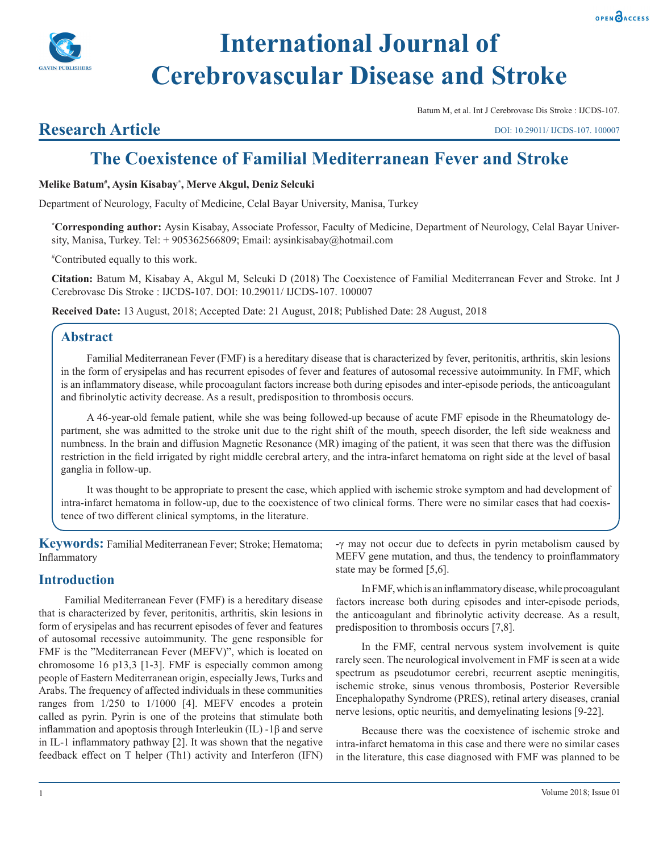



# **International Journal of Cerebrovascular Disease and Stroke**

Batum M, et al. Int J Cerebrovasc Dis Stroke : IJCDS-107.

### **Research Article**

DOI: 10.29011/ IJCDS-107. 100007

## **The Coexistence of Familial Mediterranean Fever and Stroke**

#### **Melike Batum# , Aysin Kisabay\* , Merve Akgul, Deniz Selcuki**

Department of Neurology, Faculty of Medicine, Celal Bayar University, Manisa, Turkey

**\* Corresponding author:** Aysin Kisabay, Associate Professor, Faculty of Medicine, Department of Neurology, Celal Bayar University, Manisa, Turkey. Tel: + 905362566809; Email: aysinkisabay@hotmail.com

# Contributed equally to this work.

**Citation:** Batum M, Kisabay A, Akgul M, Selcuki D (2018) The Coexistence of Familial Mediterranean Fever and Stroke. Int J Cerebrovasc Dis Stroke : IJCDS-107. DOI: 10.29011/ IJCDS-107. 100007

**Received Date:** 13 August, 2018; Accepted Date: 21 August, 2018; Published Date: 28 August, 2018

#### **Abstract**

Familial Mediterranean Fever (FMF) is a hereditary disease that is characterized by fever, peritonitis, arthritis, skin lesions in the form of erysipelas and has recurrent episodes of fever and features of autosomal recessive autoimmunity. In FMF, which is an inflammatory disease, while procoagulant factors increase both during episodes and inter-episode periods, the anticoagulant and fibrinolytic activity decrease. As a result, predisposition to thrombosis occurs.

A 46-year-old female patient, while she was being followed-up because of acute FMF episode in the Rheumatology department, she was admitted to the stroke unit due to the right shift of the mouth, speech disorder, the left side weakness and numbness. In the brain and diffusion Magnetic Resonance (MR) imaging of the patient, it was seen that there was the diffusion restriction in the field irrigated by right middle cerebral artery, and the intra-infarct hematoma on right side at the level of basal ganglia in follow-up.

It was thought to be appropriate to present the case, which applied with ischemic stroke symptom and had development of intra-infarct hematoma in follow-up, due to the coexistence of two clinical forms. There were no similar cases that had coexistence of two different clinical symptoms, in the literature.

**Keywords:** Familial Mediterranean Fever; Stroke; Hematoma; Inflammatory

#### **Introduction**

Familial Mediterranean Fever (FMF) is a hereditary disease that is characterized by fever, peritonitis, arthritis, skin lesions in form of erysipelas and has recurrent episodes of fever and features of autosomal recessive autoimmunity. The gene responsible for FMF is the "Mediterranean Fever (MEFV)", which is located on chromosome 16 p13,3 [1-3]. FMF is especially common among people of Eastern Mediterranean origin, especially Jews, Turks and Arabs. The frequency of affected individuals in these communities ranges from 1/250 to 1/1000 [4]. MEFV encodes a protein called as pyrin. Pyrin is one of the proteins that stimulate both inflammation and apoptosis through Interleukin (IL) -1β and serve in IL-1 inflammatory pathway [2]. It was shown that the negative feedback effect on T helper (Th1) activity and Interferon (IFN)

-γ may not occur due to defects in pyrin metabolism caused by MEFV gene mutation, and thus, the tendency to proinflammatory state may be formed [5,6].

In FMF, which is an inflammatory disease, while procoagulant factors increase both during episodes and inter-episode periods, the anticoagulant and fibrinolytic activity decrease. As a result, predisposition to thrombosis occurs [7,8].

In the FMF, central nervous system involvement is quite rarely seen. The neurological involvement in FMF is seen at a wide spectrum as pseudotumor cerebri, recurrent aseptic meningitis, ischemic stroke, sinus venous thrombosis, Posterior Reversible Encephalopathy Syndrome (PRES), retinal artery diseases, cranial nerve lesions, optic neuritis, and demyelinating lesions [9-22].

Because there was the coexistence of ischemic stroke and intra-infarct hematoma in this case and there were no similar cases in the literature, this case diagnosed with FMF was planned to be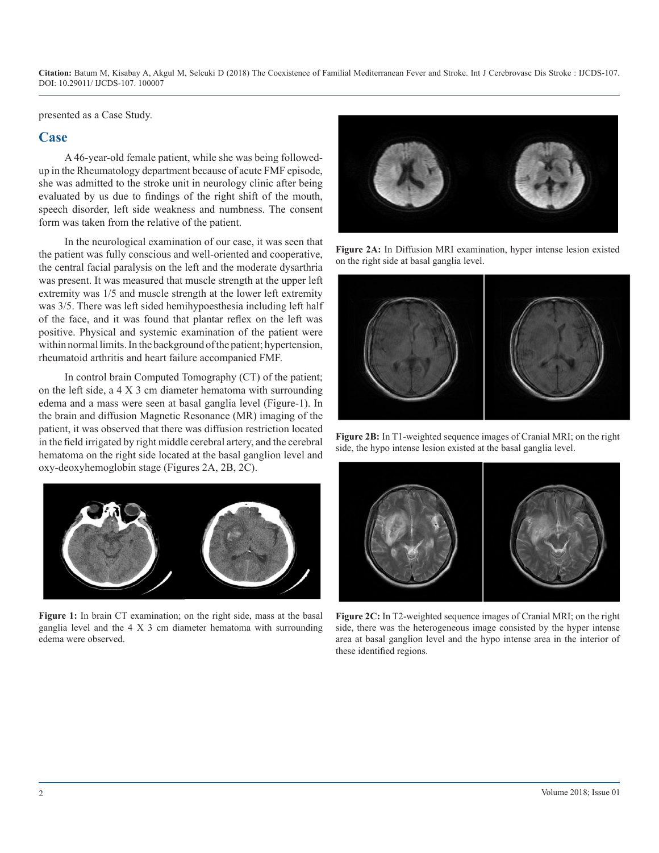presented as a Case Study.

#### **Case**

A 46-year-old female patient, while she was being followedup in the Rheumatology department because of acute FMF episode, she was admitted to the stroke unit in neurology clinic after being evaluated by us due to findings of the right shift of the mouth, speech disorder, left side weakness and numbness. The consent form was taken from the relative of the patient.

In the neurological examination of our case, it was seen that the patient was fully conscious and well-oriented and cooperative, the central facial paralysis on the left and the moderate dysarthria was present. It was measured that muscle strength at the upper left extremity was 1/5 and muscle strength at the lower left extremity was 3/5. There was left sided hemihypoesthesia including left half of the face, and it was found that plantar reflex on the left was positive. Physical and systemic examination of the patient were within normal limits. In the background of the patient; hypertension, rheumatoid arthritis and heart failure accompanied FMF.

In control brain Computed Tomography (CT) of the patient; on the left side, a 4 X 3 cm diameter hematoma with surrounding edema and a mass were seen at basal ganglia level (Figure-1). In the brain and diffusion Magnetic Resonance (MR) imaging of the patient, it was observed that there was diffusion restriction located in the field irrigated by right middle cerebral artery, and the cerebral hematoma on the right side located at the basal ganglion level and oxy-deoxyhemoglobin stage (Figures 2A, 2B, 2C).



**Figure 1:** In brain CT examination; on the right side, mass at the basal ganglia level and the 4 X 3 cm diameter hematoma with surrounding edema were observed.



**Figure 2A:** In Diffusion MRI examination, hyper intense lesion existed on the right side at basal ganglia level.



**Figure 2B:** In T1-weighted sequence images of Cranial MRI; on the right side, the hypo intense lesion existed at the basal ganglia level.



**Figure 2C:** In T2-weighted sequence images of Cranial MRI; on the right side, there was the heterogeneous image consisted by the hyper intense area at basal ganglion level and the hypo intense area in the interior of these identified regions.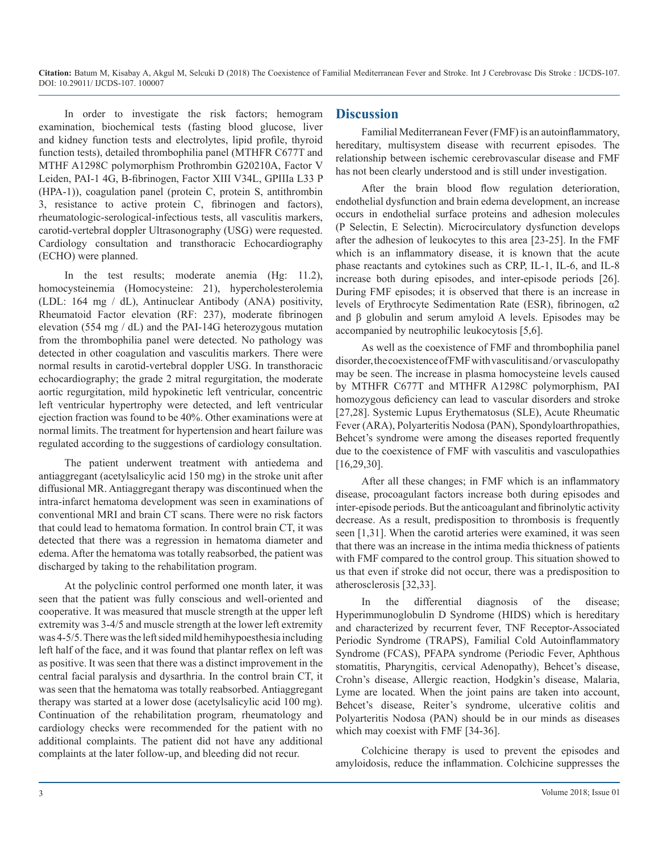In order to investigate the risk factors; hemogram examination, biochemical tests (fasting blood glucose, liver and kidney function tests and electrolytes, lipid profile, thyroid function tests), detailed thrombophilia panel (MTHFR C677T and MTHF A1298C polymorphism Prothrombin G20210A, Factor V Leiden, PAI-1 4G, B-fibrinogen, Factor XIII V34L, GPIIIa L33 P (HPA-1)), coagulation panel (protein C, protein S, antithrombin 3, resistance to active protein C, fibrinogen and factors), rheumatologic-serological-infectious tests, all vasculitis markers, carotid-vertebral doppler Ultrasonography (USG) were requested. Cardiology consultation and transthoracic Echocardiography (ECHO) were planned.

In the test results; moderate anemia (Hg: 11.2), homocysteinemia (Homocysteine: 21), hypercholesterolemia (LDL: 164 mg / dL), Antinuclear Antibody (ANA) positivity, Rheumatoid Factor elevation (RF: 237), moderate fibrinogen elevation (554 mg / dL) and the PAI-14G heterozygous mutation from the thrombophilia panel were detected. No pathology was detected in other coagulation and vasculitis markers. There were normal results in carotid-vertebral doppler USG. In transthoracic echocardiography; the grade 2 mitral regurgitation, the moderate aortic regurgitation, mild hypokinetic left ventricular, concentric left ventricular hypertrophy were detected, and left ventricular ejection fraction was found to be 40%. Other examinations were at normal limits. The treatment for hypertension and heart failure was regulated according to the suggestions of cardiology consultation.

The patient underwent treatment with antiedema and antiaggregant (acetylsalicylic acid 150 mg) in the stroke unit after diffusional MR. Antiaggregant therapy was discontinued when the intra-infarct hematoma development was seen in examinations of conventional MRI and brain CT scans. There were no risk factors that could lead to hematoma formation. In control brain CT, it was detected that there was a regression in hematoma diameter and edema. After the hematoma was totally reabsorbed, the patient was discharged by taking to the rehabilitation program.

At the polyclinic control performed one month later, it was seen that the patient was fully conscious and well-oriented and cooperative. It was measured that muscle strength at the upper left extremity was 3-4/5 and muscle strength at the lower left extremity was 4-5/5. There was the left sided mild hemihypoesthesia including left half of the face, and it was found that plantar reflex on left was as positive. It was seen that there was a distinct improvement in the central facial paralysis and dysarthria. In the control brain CT, it was seen that the hematoma was totally reabsorbed. Antiaggregant therapy was started at a lower dose (acetylsalicylic acid 100 mg). Continuation of the rehabilitation program, rheumatology and cardiology checks were recommended for the patient with no additional complaints. The patient did not have any additional complaints at the later follow-up, and bleeding did not recur.

#### **Discussion**

Familial Mediterranean Fever (FMF) is an autoinflammatory, hereditary, multisystem disease with recurrent episodes. The relationship between ischemic cerebrovascular disease and FMF has not been clearly understood and is still under investigation.

After the brain blood flow regulation deterioration, endothelial dysfunction and brain edema development, an increase occurs in endothelial surface proteins and adhesion molecules (P Selectin, E Selectin). Microcirculatory dysfunction develops after the adhesion of leukocytes to this area [23-25]. In the FMF which is an inflammatory disease, it is known that the acute phase reactants and cytokines such as CRP, IL-1, IL-6, and IL-8 increase both during episodes, and inter-episode periods [26]. During FMF episodes; it is observed that there is an increase in levels of Erythrocyte Sedimentation Rate (ESR), fibrinogen, α2 and β globulin and serum amyloid A levels. Episodes may be accompanied by neutrophilic leukocytosis [5,6].

As well as the coexistence of FMF and thrombophilia panel disorder, the coexistence of FMF with vasculitis and / or vasculopathy may be seen. The increase in plasma homocysteine levels caused by MTHFR C677T and MTHFR A1298C polymorphism, PAI homozygous deficiency can lead to vascular disorders and stroke [27,28]. Systemic Lupus Erythematosus (SLE), Acute Rheumatic Fever (ARA), Polyarteritis Nodosa (PAN), Spondyloarthropathies, Behcet's syndrome were among the diseases reported frequently due to the coexistence of FMF with vasculitis and vasculopathies [16,29,30].

After all these changes; in FMF which is an inflammatory disease, procoagulant factors increase both during episodes and inter-episode periods. But the anticoagulant and fibrinolytic activity decrease. As a result, predisposition to thrombosis is frequently seen [1,31]. When the carotid arteries were examined, it was seen that there was an increase in the intima media thickness of patients with FMF compared to the control group. This situation showed to us that even if stroke did not occur, there was a predisposition to atherosclerosis [32,33].

In the differential diagnosis of the disease; Hyperimmunoglobulin D Syndrome (HIDS) which is hereditary and characterized by recurrent fever, TNF Receptor-Associated Periodic Syndrome (TRAPS), Familial Cold Autoinflammatory Syndrome (FCAS), PFAPA syndrome (Periodic Fever, Aphthous stomatitis, Pharyngitis, cervical Adenopathy), Behcet's disease, Crohn's disease, Allergic reaction, Hodgkin's disease, Malaria, Lyme are located. When the joint pains are taken into account, Behcet's disease, Reiter's syndrome, ulcerative colitis and Polyarteritis Nodosa (PAN) should be in our minds as diseases which may coexist with FMF [34-36].

Colchicine therapy is used to prevent the episodes and amyloidosis, reduce the inflammation. Colchicine suppresses the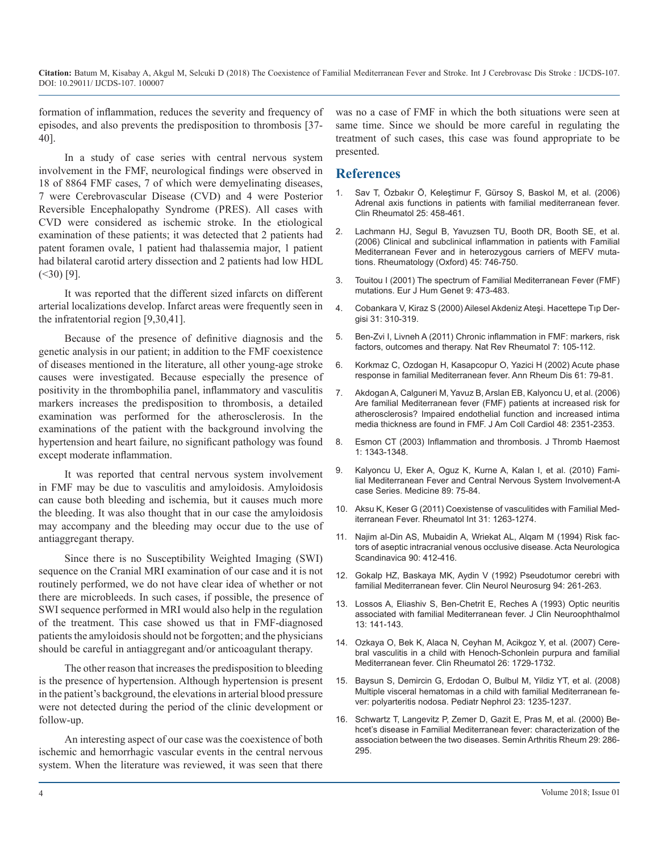formation of inflammation, reduces the severity and frequency of episodes, and also prevents the predisposition to thrombosis [37- 40].

In a study of case series with central nervous system involvement in the FMF, neurological findings were observed in 18 of 8864 FMF cases, 7 of which were demyelinating diseases, 7 were Cerebrovascular Disease (CVD) and 4 were Posterior Reversible Encephalopathy Syndrome (PRES). All cases with CVD were considered as ischemic stroke. In the etiological examination of these patients; it was detected that 2 patients had patent foramen ovale, 1 patient had thalassemia major, 1 patient had bilateral carotid artery dissection and 2 patients had low HDL  $(\leq 30)$  [9].

It was reported that the different sized infarcts on different arterial localizations develop. Infarct areas were frequently seen in the infratentorial region [9,30,41].

Because of the presence of definitive diagnosis and the genetic analysis in our patient; in addition to the FMF coexistence of diseases mentioned in the literature, all other young-age stroke causes were investigated. Because especially the presence of positivity in the thrombophilia panel, inflammatory and vasculitis markers increases the predisposition to thrombosis, a detailed examination was performed for the atherosclerosis. In the examinations of the patient with the background involving the hypertension and heart failure, no significant pathology was found except moderate inflammation.

It was reported that central nervous system involvement in FMF may be due to vasculitis and amyloidosis. Amyloidosis can cause both bleeding and ischemia, but it causes much more the bleeding. It was also thought that in our case the amyloidosis may accompany and the bleeding may occur due to the use of antiaggregant therapy.

Since there is no Susceptibility Weighted Imaging (SWI) sequence on the Cranial MRI examination of our case and it is not routinely performed, we do not have clear idea of whether or not there are microbleeds. In such cases, if possible, the presence of SWI sequence performed in MRI would also help in the regulation of the treatment. This case showed us that in FMF-diagnosed patients the amyloidosis should not be forgotten; and the physicians should be careful in antiaggregant and/or anticoagulant therapy.

The other reason that increases the predisposition to bleeding is the presence of hypertension. Although hypertension is present in the patient's background, the elevations in arterial blood pressure were not detected during the period of the clinic development or follow-up.

An interesting aspect of our case was the coexistence of both ischemic and hemorrhagic vascular events in the central nervous system. When the literature was reviewed, it was seen that there was no a case of FMF in which the both situations were seen at same time. Since we should be more careful in regulating the treatment of such cases, this case was found appropriate to be presented.

#### **References**

- 1. [Sav T, Özbakır Ö, Keleştimur F, Gürsoy S, Baskol M, et al. \(2006\)](https://www.ncbi.nlm.nih.gov/pubmed/16267600)  Adrenal axis functions in patients with familial mediterranean fever. [Clin Rheumatol 25: 458-461.](https://www.ncbi.nlm.nih.gov/pubmed/16267600)
- 2. [Lachmann HJ, Segul B, Yavuzsen TU, Booth DR, Booth SE, et al.](https://www.ncbi.nlm.nih.gov/pubmed/16403826)  (2006) Clinical and subclinical inflammation in patients with Familial [Mediterranean Fever and in heterozygous carriers of MEFV muta](https://www.ncbi.nlm.nih.gov/pubmed/16403826)[tions. Rheumatology \(Oxford\) 45: 746-750.](https://www.ncbi.nlm.nih.gov/pubmed/16403826)
- 3. [Touitou I \(2001\) The spectrum of Familial Mediterranean Fever \(FMF\)](https://www.ncbi.nlm.nih.gov/pubmed/11464238) [mutations. Eur J Hum Genet](https://www.ncbi.nlm.nih.gov/pubmed/11464238) 9: 473-483.
- 4. Cobankara V, Kiraz S (2000) Ailesel Akdeniz Ateşi. Hacettepe Tıp Dergisi 31: 310-319.
- 5. [Ben-Zvi I, Livneh A \(2011\) Chronic inflammation in FMF: markers, risk](https://www.ncbi.nlm.nih.gov/pubmed/21060333)  factors, outcomes and therapy. Nat Rev Rheumatol 7: 105-112.
- 6. [Korkmaz C, Ozdogan H, Kasapcopur O, Yazici H \(2002\) Acute phase](https://www.ncbi.nlm.nih.gov/pubmed/11779767)  response in familial Mediterranean fever. Ann Rheum Dis 61: 79-81.
- 7. [Akdogan A, Calguneri M, Yavuz B, Arslan EB, Kalyoncu U, et al. \(2006\)](https://www.ncbi.nlm.nih.gov/pubmed/17161270)  Are familial Mediterranean fever (FMF) patients at increased risk for [atherosclerosis? Impaired endothelial function and increased intima](https://www.ncbi.nlm.nih.gov/pubmed/17161270)  [media thickness are found in FMF. J Am Coll Cardiol 48: 2351-2353.](https://www.ncbi.nlm.nih.gov/pubmed/17161270)
- 8. [Esmon CT \(2003\) Inflammation and thrombosis. J Thromb Haemost](https://www.ncbi.nlm.nih.gov/pubmed/12871267)  1: 1343-1348.
- 9. [Kalyoncu U, Eker A, Oguz K, Kurne A, Kalan I, et al. \(2010\) Fami](https://www.ncbi.nlm.nih.gov/pubmed/20517179)lial Mediterranean Fever and Central Nervous System Involvement-[A](https://www.ncbi.nlm.nih.gov/pubmed/20517179)  [case Series. Medicine 89: 75-84.](https://www.ncbi.nlm.nih.gov/pubmed/20517179)
- 10. [Aksu K, Keser G \(2011\) Coexistense of vasculitides with Familial Med](https://www.ncbi.nlm.nih.gov/pubmed/21547384)iterranean Fever. Rheumatol Int 31: 1263-1274.
- 11. [Najim al-Din AS, Mubaidin A, Wriekat AL, Alqam M \(1994\) Risk fac](https://onlinelibrary.wiley.com/doi/pdf/10.1111/j.1600-0404.1994.tb02750.x)tors of aseptic intracranial venous occlusive disease. Acta Neurologica [Scandinavica 90: 412-416.](https://onlinelibrary.wiley.com/doi/pdf/10.1111/j.1600-0404.1994.tb02750.x)
- 12. [Gokalp HZ, Baskaya MK, Aydin V \(1992\) Pseudotumor cerebri with](https://www.ncbi.nlm.nih.gov/pubmed/1327619)  familial Mediterranean fever. Clin Neurol Neurosurg 94: 261-263.
- 13. [Lossos A, Eliashiv S, Ben-Chetrit E, Reches A \(1993\) Optic neuritis](https://www.ncbi.nlm.nih.gov/pubmed/8340482)  associated with familial Mediterranean fever. J Clin Neuroophthalmol [13: 141-143.](https://www.ncbi.nlm.nih.gov/pubmed/8340482)
- 14. [Ozkaya O, Bek K, Alaca N, Ceyhan M, Acikgoz Y, et al. \(2007\) Cere](https://www.ncbi.nlm.nih.gov/pubmed/17235658)bral vasculitis in a child with Henoch-Schonlein purpura and familial [Mediterranean fever. Clin Rheumatol 26: 1729-1732.](https://www.ncbi.nlm.nih.gov/pubmed/17235658)
- 15. [Baysun S, Demircin G, Erdodan O, Bulbul M, Yildiz YT, et al. \(2008\)](https://www.ncbi.nlm.nih.gov/pubmed/18183427)  Multiple visceral hematomas in a child with familial Mediterranean fe[ver: polyarteritis nodosa. Pediatr Nephrol 23: 1235-1237.](https://www.ncbi.nlm.nih.gov/pubmed/18183427)
- 16. [Schwartz T, Langevitz P, Zemer D, Gazit E, Pras M, et al. \(2000\) Be](https://www.ncbi.nlm.nih.gov/pubmed/10805353)hcet's disease in Familial Mediterranean fever: characterization of the [association between the two diseases. Semin Arthritis Rheum 29: 286-](https://www.ncbi.nlm.nih.gov/pubmed/10805353) [295.](https://www.ncbi.nlm.nih.gov/pubmed/10805353)